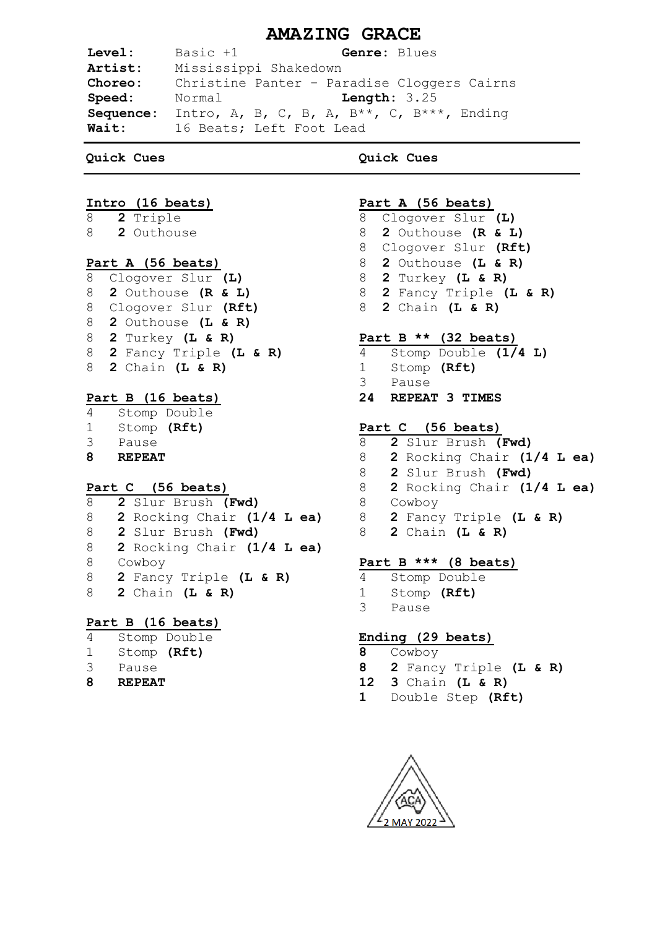# **AMAZING GRACE**

**Level:** Basic +1 **Genre:** Blues **Artist:** Mississippi Shakedown **Choreo:** Christine Panter – Paradise Cloggers Cairns **Speed:** Normal **Length:** 3.25 **Sequence:** Intro, A, B, C, B, A, B\*\*, C, B\*\*\*, Ending **Wait:** 16 Beats; Left Foot Lead

### **Quick Cues**

### **Intro (16 beats)**

- 8 **2** Triple
- 8 **2** Outhouse

### **Part A (56 beats)**

 Clogover Slur **(L) 2** Outhouse **(R & L)** Clogover Slur **(Rft) 2** Outhouse **(L & R) 2** Turkey **(L & R) 2** Fancy Triple **(L & R) 2** Chain **(L & R)**

## **Part B (16 beats)**

- 4 Stomp Double 1 Stomp **(Rft)** 3 Pause
- **8 REPEAT**

## **Part C (56 beats)**

**2** Slur Brush **(Fwd) 2** Rocking Chair **(1/4 L ea) 2** Slur Brush **(Fwd) 2** Rocking Chair **(1/4 L ea)** 8 Cowboy **2** Fancy Triple **(L & R) 2** Chain **(L & R)**

### **Part B (16 beats)**

- 4 Stomp Double
- 1 Stomp **(Rft)**
- 3 Pause
- **8 REPEAT**

## **Quick Cues**

## **Part A (56 beats)**

- 8 Clogover Slur **(L)**
- 8 **2** Outhouse **(R & L)**
- 8 Clogover Slur **(Rft)**
- 8 **2** Outhouse **(L & R)**
- 8 **2** Turkey **(L & R)**
- 8 **2** Fancy Triple **(L & R)**
- 8 **2** Chain **(L & R)**

### **Part B \*\* (32 beats)**

- 4 Stomp Double **(1/4 L)**
- 1 Stomp **(Rft)**
- 3 Pause
- **24 REPEAT 3 TIMES**

## **Part C (56 beats)**

- 8 **2** Slur Brush **(Fwd)**
- 8 **2** Rocking Chair **(1/4 L ea)**
- 8 **2** Slur Brush **(Fwd)**
- 8 **2** Rocking Chair **(1/4 L ea)**
- 8 Cowboy
- 8 **2** Fancy Triple **(L & R)**
	- 8 **2** Chain **(L & R)**

## **Part B \*\*\* (8 beats)**

4 Stomp Double 1 Stomp **(Rft)** 3 Pause

## **Ending (29 beats)**

- **8** Cowboy
- **8 2** Fancy Triple **(L & R)**
- **12 3** Chain **(L & R)**
- **1** Double Step **(Rft)**